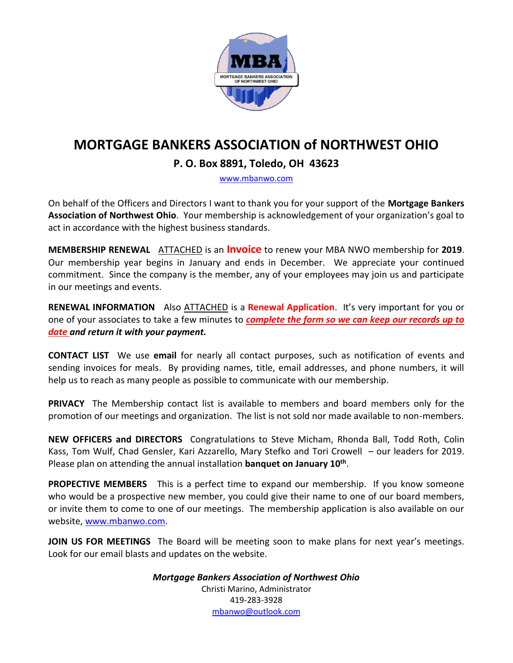

## **MORTGAGE BANKERS ASSOCIATION of NORTHWEST OHIO**

#### **P. O. Box 8891, Toledo, OH 43623**

[www.mbanwo.com](http://www.mbanwo.com/)

On behalf of the Officers and Directors I want to thank you for your support of the **Mortgage Bankers Association of Northwest Ohio**. Your membership is acknowledgement of your organization's goal to act in accordance with the highest business standards.

**MEMBERSHIP RENEWAL** ATTACHED is an **Invoice** to renew your MBA NWO membership for **2019**. Our membership year begins in January and ends in December. We appreciate your continued commitment. Since the company is the member, any of your employees may join us and participate in our meetings and events.

**RENEWAL INFORMATION** Also **ATTACHED** is a **Renewal Application**. It's very important for you or one of your associates to take a few minutes to *complete the form so we can keep our records up to date and return it with your payment.*

**CONTACT LIST** We use **email** for nearly all contact purposes, such as notification of events and sending invoices for meals. By providing names, title, email addresses, and phone numbers, it will help us to reach as many people as possible to communicate with our membership.

**PRIVACY** The Membership contact list is available to members and board members only for the promotion of our meetings and organization. The list is not sold nor made available to non-members.

**NEW OFFICERS and DIRECTORS** Congratulations to Steve Micham, Rhonda Ball, Todd Roth, Colin Kass, Tom Wulf, Chad Gensler, Kari Azzarello, Mary Stefko and Tori Crowell – our leaders for 2019. Please plan on attending the annual installation **banquet on January 10<sup>th</sup>**.

**PROPECTIVE MEMBERS** This is a perfect time to expand our membership. If you know someone who would be a prospective new member, you could give their name to one of our board members, or invite them to come to one of our meetings. The membership application is also available on our website, [www.mbanwo.com.](http://www.mbanwo.com/)

**JOIN US FOR MEETINGS** The Board will be meeting soon to make plans for next year's meetings. Look for our email blasts and updates on the website.

> *Mortgage Bankers Association of Northwest Ohio* Christi Marino, Administrator 419-283-3928 [mbanwo@outlook.com](mailto:mbanwo@outlook.com)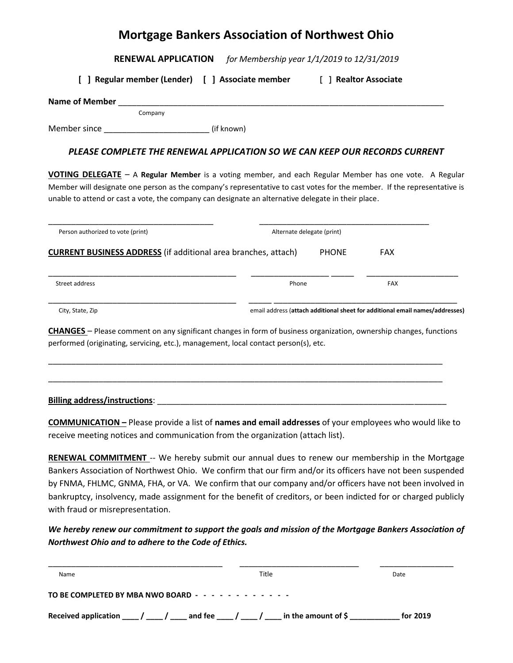#### **Mortgage Bankers Association of Northwest Ohio**

**RENEWAL APPLICATION** *for Membership year 1/1/2019 to 12/31/2019*

**[ ] Regular member (Lender) [ ] Associate member [ ] Realtor Associate**

| <b>Name of Member</b> |         |            |  |  |
|-----------------------|---------|------------|--|--|
|                       | Company |            |  |  |
| Member since          |         | (if known) |  |  |

*PLEASE COMPLETE THE RENEWAL APPLICATION SO WE CAN KEEP OUR RECORDS CURRENT*

**VOTING DELEGATE** – A **Regular Member** is a voting member, and each Regular Member has one vote. A Regular Member will designate one person as the company's representative to cast votes for the member. If the representative is unable to attend or cast a vote, the company can designate an alternative delegate in their place.

| Person authorized to vote (print)                                     | Alternate delegate (print) |            |
|-----------------------------------------------------------------------|----------------------------|------------|
| <b>CURRENT BUSINESS ADDRESS</b> (if additional area branches, attach) | <b>PHONE</b>               | <b>FAX</b> |
| Street address                                                        | Phone                      | <b>FAX</b> |
|                                                                       |                            |            |

**CHANGES** – Please comment on any significant changes in form of business organization, ownership changes, functions performed (originating, servicing, etc.), management, local contact person(s), etc.

\_\_\_\_\_\_\_\_\_\_\_\_\_\_\_\_\_\_\_\_\_\_\_\_\_\_\_\_\_\_\_\_\_\_\_\_\_\_\_\_\_\_\_\_\_\_\_\_\_\_\_\_\_\_\_\_\_\_\_\_\_\_\_\_\_\_\_\_\_\_\_\_\_\_\_\_\_\_\_\_\_\_\_\_\_\_

\_\_\_\_\_\_\_\_\_\_\_\_\_\_\_\_\_\_\_\_\_\_\_\_\_\_\_\_\_\_\_\_\_\_\_\_\_\_\_\_\_\_\_\_\_\_\_\_\_\_\_\_\_\_\_\_\_\_\_\_\_\_\_\_\_\_\_\_\_\_\_\_\_\_\_\_\_\_\_\_\_\_\_\_\_\_

#### **Billing address/instructions**: \_\_\_\_\_\_\_\_\_\_\_\_\_\_\_\_\_\_\_\_\_\_\_\_\_\_\_\_\_\_\_\_\_\_\_\_\_\_\_\_\_\_\_\_\_\_\_\_\_\_\_\_\_\_\_\_\_\_\_\_\_\_\_

**COMMUNICATION –** Please provide a list of **names and email addresses** of your employees who would like to receive meeting notices and communication from the organization (attach list).

**RENEWAL COMMITMENT** -- We hereby submit our annual dues to renew our membership in the Mortgage Bankers Association of Northwest Ohio. We confirm that our firm and/or its officers have not been suspended by FNMA, FHLMC, GNMA, FHA, or VA. We confirm that our company and/or officers have not been involved in bankruptcy, insolvency, made assignment for the benefit of creditors, or been indicted for or charged publicly with fraud or misrepresentation.

*We hereby renew our commitment to support the goals and mission of the Mortgage Bankers Association of Northwest Ohio and to adhere to the Code of Ethics.*

| Name                                                                                       | Title | Date     |
|--------------------------------------------------------------------------------------------|-------|----------|
|                                                                                            |       |          |
| Received application $\frac{1}{\sqrt{2}}$ and fee $\frac{1}{\sqrt{2}}$ in the amount of \$ |       | for 2019 |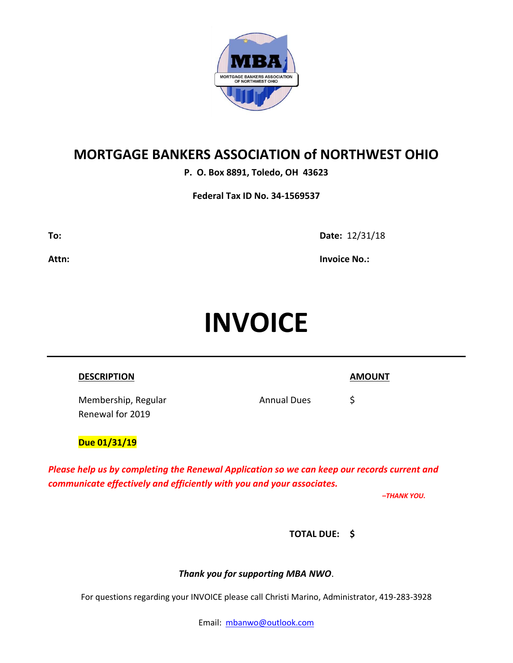

## **MORTGAGE BANKERS ASSOCIATION of NORTHWEST OHIO**

**P. O. Box 8891, Toledo, OH 43623**

**Federal Tax ID No. 34-1569537**

**To: Date:** 12/31/18

**Attn: Invoice No.:**

# **INVOICE**

| <b>DESCRIPTION</b>                      |                    | <b>AMOUNT</b> |
|-----------------------------------------|--------------------|---------------|
| Membership, Regular<br>Renewal for 2019 | <b>Annual Dues</b> | S             |
| Due 01/31/19                            |                    |               |

*Please help us by completing the Renewal Application so we can keep our records current and communicate effectively and efficiently with you and your associates.* 

*–THANK YOU.*

**TOTAL DUE: \$** 

*Thank you for supporting MBA NWO*.

For questions regarding your INVOICE please call Christi Marino, Administrator, 419-283-3928

Email: [mbanwo@outlook.com](mailto:mbanwo@outlook.com)